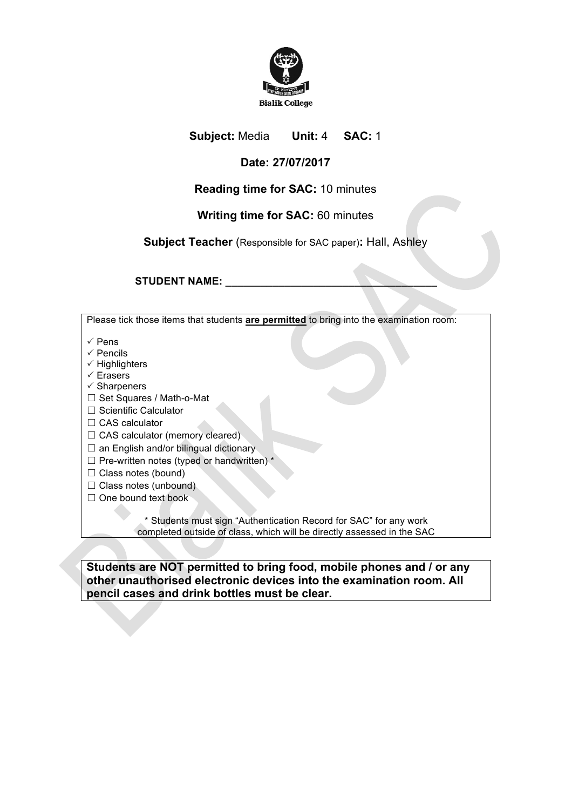

**Subject:** Media **Unit:** 4 **SAC:** 1

# **Date: 27/07/2017**

# **Reading time for SAC:** 10 minutes

## **Writing time for SAC:** 60 minutes

**Subject Teacher** (Responsible for SAC paper)**:** Hall, Ashley

STUDENT NAME: **WE** 

| Please tick those items that students are permitted to bring into the examination room: |
|-----------------------------------------------------------------------------------------|
| $\checkmark$ Pens                                                                       |
| $\checkmark$ Pencils                                                                    |
| $\checkmark$ Highlighters                                                               |
| $\checkmark$ Erasers                                                                    |
| $\checkmark$ Sharpeners                                                                 |
| Set Squares / Math-o-Mat                                                                |
| Scientific Calculator                                                                   |
| $\Box$ CAS calculator                                                                   |
| $\Box$ CAS calculator (memory cleared)                                                  |
| an English and/or bilingual dictionary                                                  |
| $\Box$ Pre-written notes (typed or handwritten) *                                       |
| $\Box$ Class notes (bound)                                                              |
| $\Box$ Class notes (unbound)                                                            |
| $\Box$ One bound text book                                                              |
|                                                                                         |
| * Students must sign "Authentication Record for SAC" for any work                       |

completed outside of class, which will be directly assessed in the SAC

**Students are NOT permitted to bring food, mobile phones and / or any other unauthorised electronic devices into the examination room. All pencil cases and drink bottles must be clear.**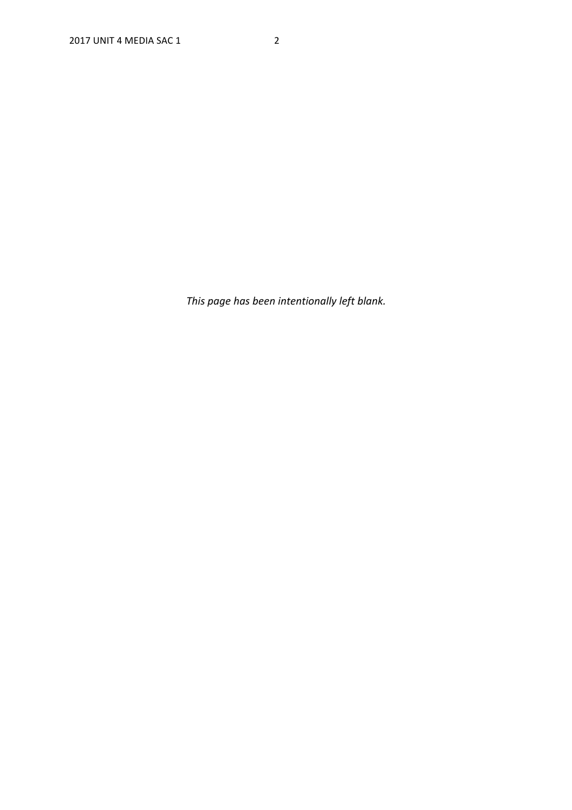This page has been intentionally left blank.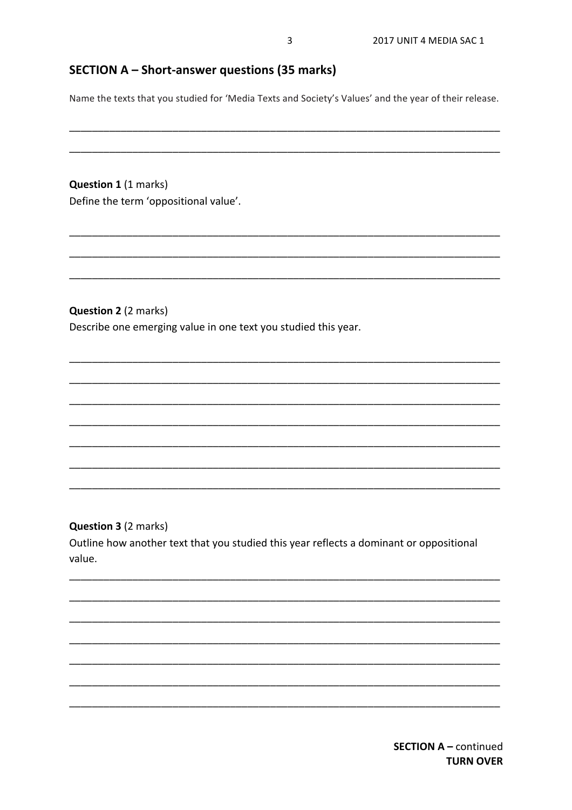# **SECTION A - Short-answer questions (35 marks)**

Name the texts that you studied for 'Media Texts and Society's Values' and the year of their release.

**Question 1 (1 marks)** Define the term 'oppositional value'.

**Question 2 (2 marks)** 

Describe one emerging value in one text you studied this year.

#### **Question 3 (2 marks)**

Outline how another text that you studied this year reflects a dominant or oppositional value.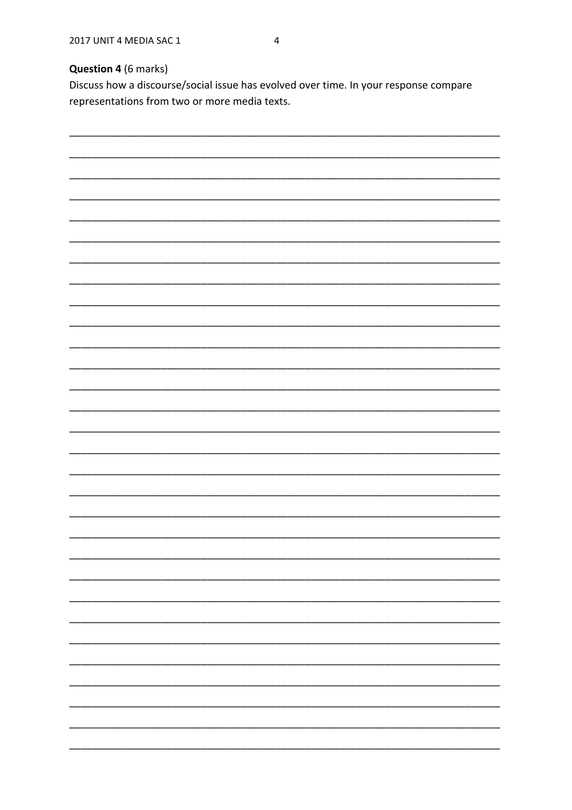## **Question 4 (6 marks)**

Discuss how a discourse/social issue has evolved over time. In your response compare representations from two or more media texts.

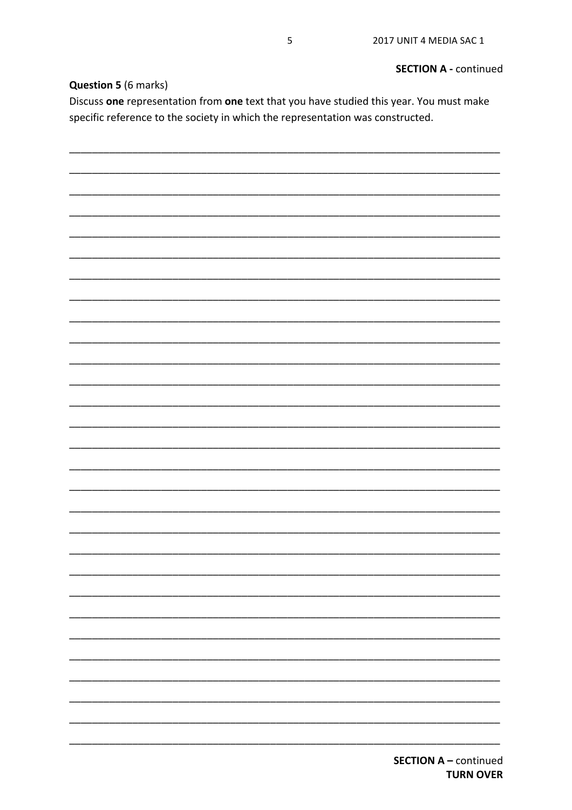**SECTION A - continued** 

### **Question 5 (6 marks)**

Discuss one representation from one text that you have studied this year. You must make specific reference to the society in which the representation was constructed.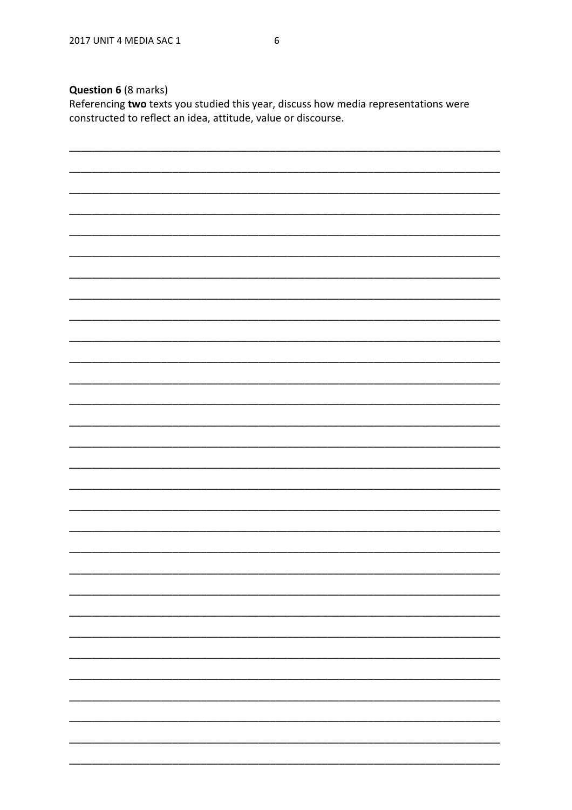Referencing two texts you studied this year, discuss how media representations were constructed to reflect an idea, attitude, value or discourse.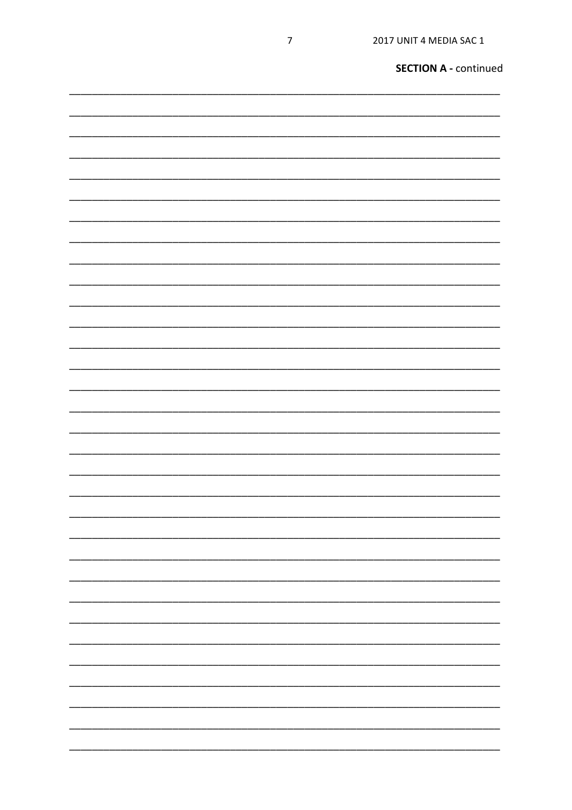| <b>SECTION A - continued</b>  |
|-------------------------------|
|                               |
|                               |
|                               |
|                               |
|                               |
|                               |
|                               |
|                               |
|                               |
|                               |
|                               |
|                               |
|                               |
|                               |
|                               |
|                               |
|                               |
|                               |
|                               |
| ۰.                            |
|                               |
| Ξ.                            |
| $\overline{\phantom{0}}$      |
| $\overline{\phantom{0}}$      |
| Ξ.                            |
| Ξ.                            |
|                               |
| -<br>$\overline{\phantom{0}}$ |
| $\overline{\phantom{0}}$      |
|                               |

 $\qquad \qquad$ 

 $\overline{\phantom{a}}$ 

 $\frac{1}{1}$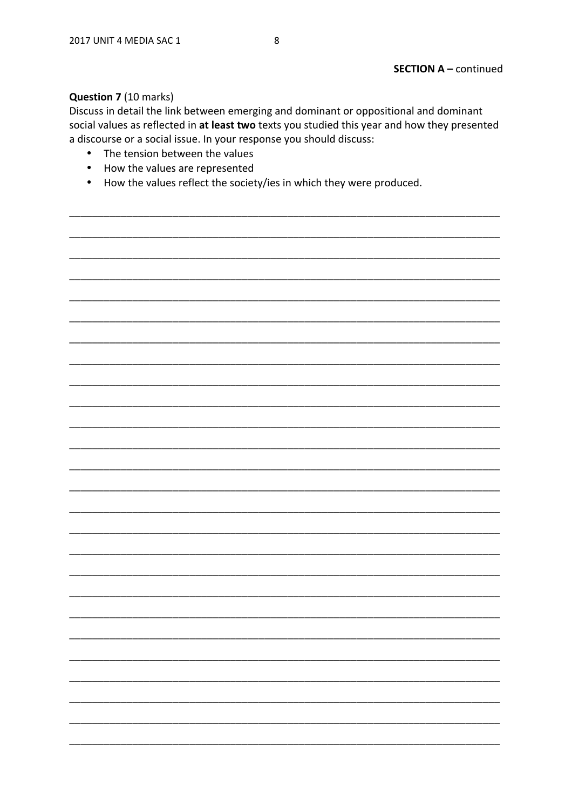### **Question 7 (10 marks)**

Discuss in detail the link between emerging and dominant or oppositional and dominant social values as reflected in at least two texts you studied this year and how they presented a discourse or a social issue. In your response you should discuss:

- The tension between the values
- How the values are represented
- How the values reflect the society/ies in which they were produced.

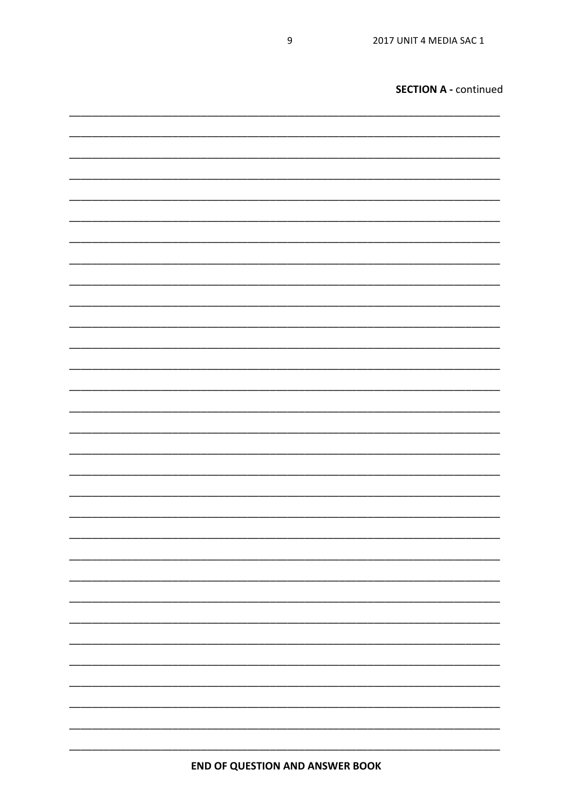**SECTION A - continued**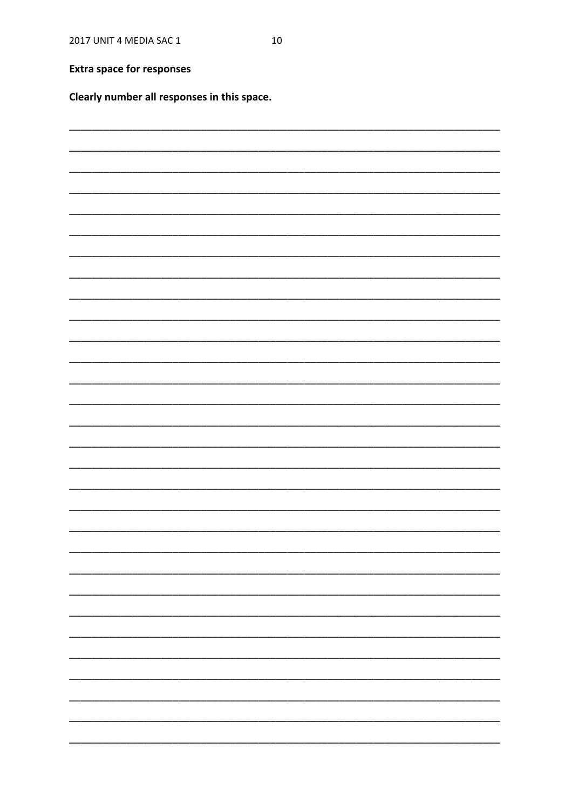**Extra space for responses** 

Clearly number all responses in this space.

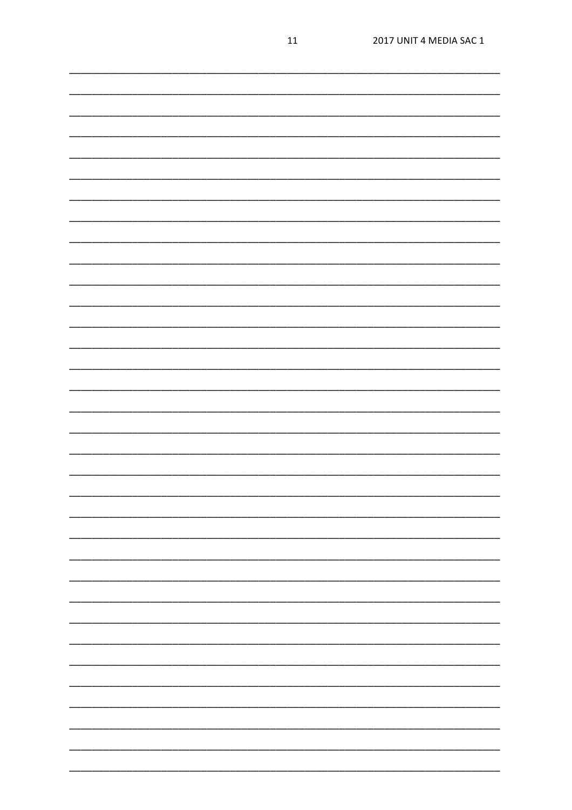| 11 | 2017 UNIT 4 MEDIA SAC 1 |
|----|-------------------------|
|    |                         |
|    |                         |
|    |                         |
|    |                         |
|    |                         |
|    |                         |
|    |                         |
|    |                         |
|    |                         |
|    |                         |
|    |                         |
|    |                         |
|    |                         |
|    |                         |
|    |                         |
|    |                         |

 $\overline{\phantom{0}}$ 

 $\overline{\phantom{0}}$ 

 $\overline{a}$  $\overline{\phantom{a}}$ L.  $\overline{a}$  $\overline{\phantom{a}}$